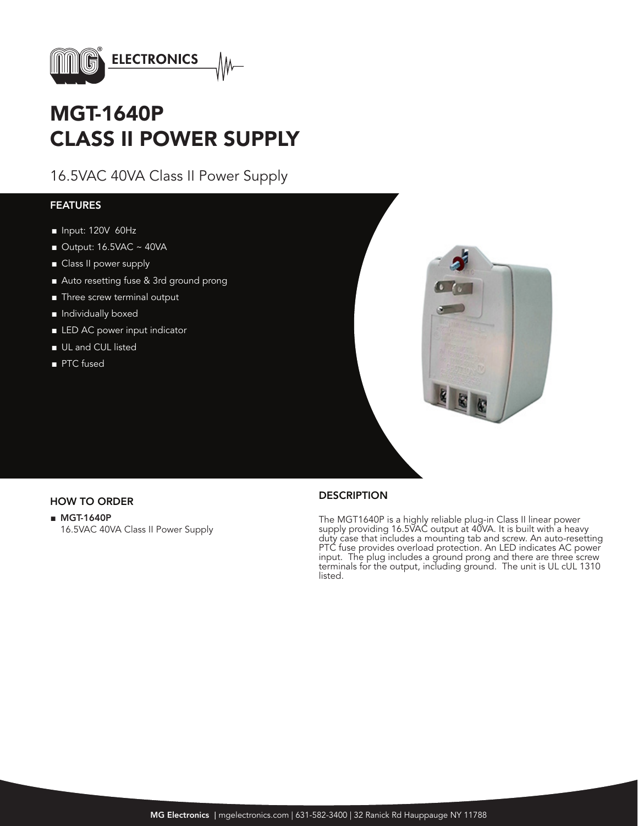

# MGT-1640P CLASS II POWER SUPPLY

16.5VAC 40VA Class II Power Supply

#### FEATURES

- Input: 120V 60Hz
- $\blacksquare$  Output: 16.5VAC ~ 40VA
- Class II power supply
- Auto resetting fuse & 3rd ground prong
- Three screw terminal output
- Individually boxed
- LED AC power input indicator
- UL and CUL listed
- PTC fused



■ MGT-1640P 16.5VAC 40VA Class II Power Supply

## HOW TO ORDER DESCRIPTION

The MGT1640P is a highly reliable plug-in Class II linear power supply providing 16.5VAC output at 40VA. It is built with a heavy duty case that includes a mounting tab and screw. An auto-resetting PTC fuse provides overload protection. An LED indicates AC power input. The plug includes a ground prong and there are three screw terminals for the output, including ground. The unit is UL cUL 1310 listed.